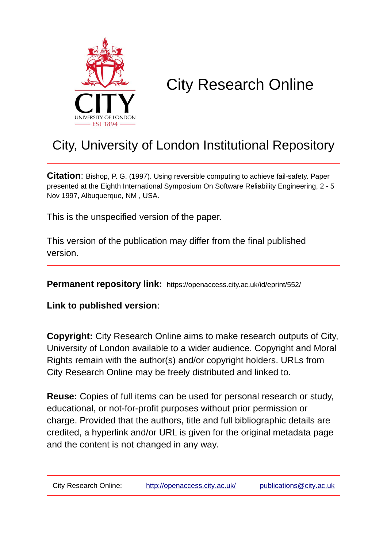

# City Research Online

## City, University of London Institutional Repository

**Citation**: Bishop, P. G. (1997). Using reversible computing to achieve fail-safety. Paper presented at the Eighth International Symposium On Software Reliability Engineering, 2 - 5 Nov 1997, Albuquerque, NM , USA.

This is the unspecified version of the paper.

This version of the publication may differ from the final published version.

**Permanent repository link:** https://openaccess.city.ac.uk/id/eprint/552/

**Link to published version**:

**Copyright:** City Research Online aims to make research outputs of City, University of London available to a wider audience. Copyright and Moral Rights remain with the author(s) and/or copyright holders. URLs from City Research Online may be freely distributed and linked to.

**Reuse:** Copies of full items can be used for personal research or study, educational, or not-for-profit purposes without prior permission or charge. Provided that the authors, title and full bibliographic details are credited, a hyperlink and/or URL is given for the original metadata page and the content is not changed in any way.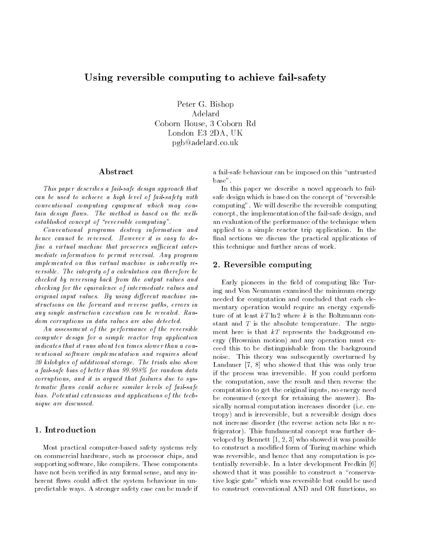## Using reversible computing to achieve fail-safety

Peter G. Bishop Adelard Coborn House, 3 Coborn Rd London E3 2DA, UK pgb@adelard.co.uk

## Abstract

This paper describes a fail-safe design approach that can be used to achieve a high level of fail-safety with conventional computing equipment which may contain design flaws. The method is based on the well $established\ concept\ of\ "reversible\ computing".$ 

Conventional programs destroy information and hence cannot be reversed. However it is easy to de-  $\int$ fine a virtual machine that preserves sufficient intermediate information to permit reversal. Any program implemented on this virtual machine is inherently reversible. The integrity of a calculation can therefore be checked by reversing back from the output values and checking for the equivalence of intermediate values and  $original$  input values. By using different machine instructions on the forward and reverse paths, errors in any single instruction execution can be revealed. Random corruptions in data values are also detected.

An assessment of the performance of the reversible computer design for a simple reactor trip application indicates that it runs about ten times slower than a conventional software implementation and requires about 20 kilobytes of additional storage. The trials also show a fail-safe bias of better than 99.998% for random data corruptions, and it is argued that failures due to systematic flaws could achieve similar levels of fail-safe bias. Potential extensions and applications of the technique are discussed.

## 1. Introduction

Most practical computer-based safety systems rely on commercial hardware, such as processor chips, and supporting software, like compilers. These components have not been verified in any formal sense, and any inherent flaws could affect the system behaviour in unpredictable ways. A stronger safety case can be made if a fail-safe behaviour can be imposed on this \untrusted base".

In this paper we describe a novel approach to failsafe design which is based on the concept of "reversible computing". We will describe the reversible computing concept, the implementation of the fail-safe design, and an evaluation of the performance of the technique when applied to a simple reactor trip application. In the final sections we discuss the practical applications of this technique and further areas of work.

## 2. Reversible computing

Early pioneers in the field of computing like Turing and Von Neumann examined the minimum energy needed for computation and concluded that each ele mentary operation would require an energy expenditure of at least  $kT \ln 2$  where k is the Boltzmann constant and  $T$  is the absolute temperature. The argument here is that  $kT$  represents the background energy (Brownian motion) and any operation must exceed this to be distinguishable from the background noise. This theory was subsequently overturned by Landauer [7, 8] who showed that this was only true if the process was irreversible. If you could perform the computation, save the result and then reverse the computation to get the original inputs, no energy need be consumed (except for retaining the answer). Basically normal computation increases disorder (i.e. entropy) and is irreversible, but a reversible design does not increase disorder (the reverse action acts like a refrigerator). This fundamental concept was further developed by Bennett [1, 2, 3] who showed it was possible to construct a modied form of Turing machine which was reversible, and hence that any computation is potentially reversible. In a later development Fredkin [6] showed that it was possible to construct a "conservative logic gate" which was reversible but could be used to construct conventional AND and OR functions, so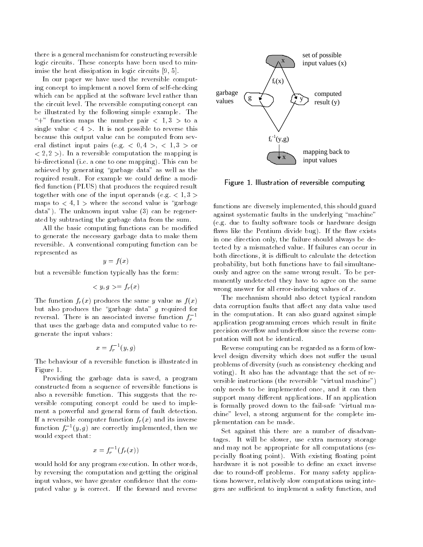there is a general mechanism for constructing reversible logic circuits. These concepts have been used to minimise the heat dissipation in logic circuits [9, 5].

In our paper we have used the reversible computing concept to implement a novel form of self-checking which can be applied at the software level rather than the circuit level. The reversible computing concept can be illustrated by the following simple example. The "+" function maps the number pair  $< 1, 3 >$  to a single value  $< 4 >$ . It is not possible to reverse this because this output value can be computed from several distinct input pairs (e.g.  $< 0, 4 > 1, 3 > 0$ r  $\mathcal{L} = \{ \mathcal{L} \}$ . In a reversible computation the mapping is bi-directional (i.e. a one to one mapping). This can be achieved by generating "garbage data" as well as the required result. For example we could define a modified function (PLUS) that produces the required result together with one of the input operands (e.g.  $< 1, 3 >$ maps to  $< 4, 1 >$  where the second value is "garbage" data"). The unknown input value (3) can be regenerated by subtracting the garbage data from the sum.

All the basic computing functions can be modified to generate the necessary garbage data to make them reversible. A conventional computing function can be represented as

$$
y = f(x)
$$

but a reversible function typically has the form:

$$
\langle y, g \rangle = f_r(x)
$$

The function  $f_r(x)$  produces the same y value as  $f(x)$ but also produces the "garbage data"  $g$  required for reversal. There is an associated inverse function  $f_r^{-1}$ that uses the garbage data and computed value to regenerate the input values:

$$
x = f_r^{-1}(y,g)
$$

The behaviour of a reversible function is illustrated in Figure 1.

Providing the garbage data is saved, a program constructed from a sequence of reversible functions is also a reversible function. This suggests that the reversible computing concept could be used to imple ment a powerful and general form of fault detection. If a reversible computer function  $f_r(x)$  and its inverse function  $f_r^{-1}(y, g)$  are correctly implemented, then we would expect that:

$$
x = f_r^{-1}(f_r(x))
$$

would hold for any program execution. In other words, by reversing the computation and getting the original input values, we have greater confidence that the computed value <sup>y</sup> is correct. If the forward and reverse



Figure 1. Illustration of reversible computing

functions are diversely implemented, this should guard against systematic faults in the underlying "machine" (e.g. due to faulty software tools or hardware design flaws like the Pentium divide bug). If the flaw exists in one direction only, the failure should always be detected by a mismatched value. If failures can occur in both directions, it is difficult to calculate the detection probability, but both functions have to fail simultaneously and agree on the same wrong result. To be per manently undetected they have to agree on the same wrong answer for all error-inducing values of x.

The mechanism should also detect typical random data corruption faults that affect any data value used in the computation. It can also guard against simple application programming errors which result in finite precision overflow and underflow since the reverse computation will not be identical.

Reverse computing can be regarded as a form of lowlevel design diversity which does not suffer the usual problems of diversity (such as consistency checking and voting). It also has the advantage that the set of reversible instructions (the reversible "virtual machine") only needs to be implemented once, and it can then support many different applications. If an application is formally proved down to the fail-safe "virtual machine" level, a strong argument for the complete implementation can be made.

Set against this there are a number of disadvantages. It will be slower, use extra memory storage and may not be appropriate for all computations (especially floating point). With existing floating point hardware it is not possible to define an exact inverse due to round-off problems. For many safety applications however, relatively slow computations using integers are sufficient to implement a safety function, and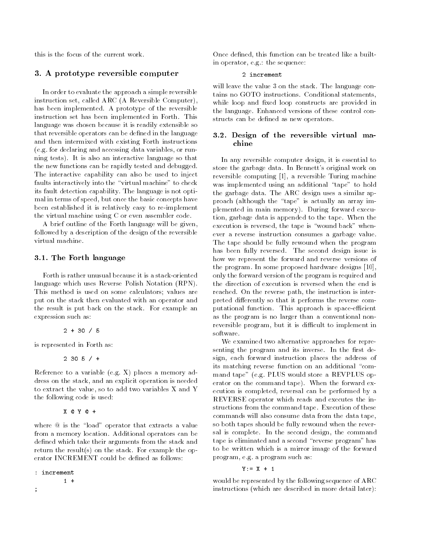this is the focus of the current work.

## 3. A prototype reversible computer

In order to evaluate the approach a simple reversible instruction set, called ARC (A Reversible Computer), has been implemented. A prototype of the reversible instruction set has been implemented in Forth. This language was chosen because it is readily extensible so that reversible operators can be defined in the language and then intermixed with existing Forth instructions (e.g. for declaring and accessing data variables, or running tests). It is also an interactive language so that the new functions can be rapidly tested and debugged. The interactive capability can also be used to inject faults interactively into the "virtual machine" to check its fault detection capability. The language is not optimal in terms of speed, but once the basic concepts have been established it is relatively easy to re-implement the virtual machine using C or even assembler code.

A brief outline of the Forth language will be given, followed by a description of the design of the reversible

## 3.1. The Forth language

Forth is rather unusual because it is a stack-oriented language which uses Reverse Polish Notation (RPN). This method is used on some calculators; values are put on the stack then evaluated with an operator and the result is put back on the stack. For example an expression such as:

2 + 30 / 5

is represented in Forth as:

 $2305 / +$ 

Reference to a variable (e.g. X) places a memory address on the stack, and an explicit operation is needed to extract the value, so to add two variables X and Y the following code is used:

X@Y@+

where @ is the "load" operator that extracts a value from a memory location. Additional operators can be defined which take their arguments from the stack and return the result(s) on the stack. For example the operator INCREMENT could be defined as follows:

: increment  $1 +$ ;

Once defined, this function can be treated like a builtin operator, e.g.: the sequence:

#### 2 increment

will leave the value 3 on the stack. The language contains no GOTO instructions. Conditional statements, while loop and fixed loop constructs are provided in the language. Enhanced versions of these control constructs can be defined as new operators.

## 3.2. Design of the reversible virtual machine

In any reversible computer design, it is essential to store the garbage data. In Bennett's original work on reversible computing [1], a reversible Turing machine was implemented using an additional "tape" to hold the garbage data. The ARC design uses a similar approach (although the "tape" is actually an array implemented in main memory). During forward execution, garbage data is appended to the tape. When the execution is reversed, the tape is "wound back" whenever a reverse instruction consumes a garbage value. The tape should be fully rewound when the program has been fully reversed. The second design issue is how we represent the forward and reverse versions of the program. In some proposed hardware designs [10], only the forward version of the program is required and the direction of execution is reversed when the end is reached. On the reverse path, the instruction is interpreted differently so that it performs the reverse computational function. This approach is space-efficient as the program is no larger than a conventional nonreversible program, but it is difficult to implement in software.

We examined two alternative approaches for representing the program and its inverse. In the first design, each forward instruction places the address of its matching reverse function on an additional "command tape" (e.g. PLUS would store a REVPLUS operator on the command tape). When the forward execution is completed, reversal can be performed by a REVERSE operator which reads and executes the instructions from the command tape. Execution of these commands will also consume data from the data tape. commands will also consume data from the data tape, so both tapes should be fully rewound when the reversal is complete. In the second design, the command tape is eliminated and a second "reverse program" has to be written which is a mirror image of the forward program, e.g. a program such as:

#### $Y := X + 1$

would be represented by the following sequence of ARC instructions (which are described in more detail later):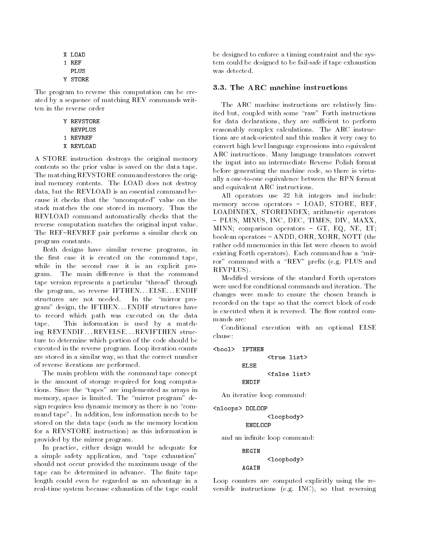X LOAD 1 REF PLUS Y STORE

The program to reverse this computation can be created by a sequence of matching REV commands written in the reverse order

```
Y REVSTORE
  REVPLUS
1 REVREF
```
A STORE instruction destroys the original memory contents so the prior value is saved on the data tape. The matching REVSTORE command restores the original memory contents. The LOAD does not destroy data, but the REVLOAD is an essential command because it checks that the "uncomputed" value on the stack matches the one stored in memory. Thus the REVLOAD command automatically checks that the reverse computation matches the original input value. The REF-REVREF pair performs a similar check on program constants.

Both designs have similar reverse programs, in the first case it is created on the command tape, while in the second case it is an explicit program. The main difference is that the command tape version represents a particular \thread" through the program, so reverse IFTHEN...ELSE...ENDIF structures are not needed. In the "mirror program" design, the IFTHEN. . . ENDIF structures have to record which path was executed on the data tape. This information is used by a matching REVENDIF. . .REVELSE. . . REVIFTHEN structure to determine which portion of the code should be executed in the reverse program. Loop iteration counts are stored in a similar way, so that the correct number of reverse iterations are performed.

The main problem with the command tape concept is the amount of storage required for long computations. Since the \tapes" are implemented as arrays in memory, space is limited. The "mirror program" design requires less dynamic memory as there is no "command tape". In addition, less information needs to be stored on the data tape (such as the memory location for a REVSTORE instruction) as this information is provided by the mirror program.

In practice, either design would be adequate for a simple safety application, and "tape exhaustion" should not occur provided the maximum usage of the tape can be determined in advance. The finite tape length could even be regarded as an advantage in a real-time system because exhaustion of the tape could be designed to enforce a timing constraint and the system could be designed to be fail-safe if tape exhaustion was detected.

## 3.3. The ARC machine instructions

The ARC machine instructions are relatively limited but, coupled with some "raw" Forth instructions for data declarations, they are sufficient to perform reasonably complex calculations. The ARC instructions are stack-oriented and this makes it very easy to convert high level language expressions into equivalent ARC instructions. Many language translators convert the input into an intermediate Reverse Polish format before generating the machine code, so there is virtually a one-to-one equivalence between the RPN format and equivalent ARC instructions.

All operators use 32 bit integers and include: memory access operators - LOAD, STORE, REF, LOADINDEX, STOREINDEX; arithmetic operators { PLUS, MINUS, INC, DEC, TIMES, DIV, MAXX, MINN; comparison operators  $-$  GT, EQ, NE, LT; boolean operators { ANDD, ORR, XORR, NOTT (the rather odd mnemonics in this list were chosen to avoid existing Forth operators). Each command has a "mirror" command with a "REV" prefix (e.g. PLUS and REVPLUS).

Modied versions of the standard Forth operators were used for conditional commands and iteration. The changes were made to ensure the chosen branch is recorded on the tape so that the correct block of code is executed when it is reversed. The flow control com-

Conditional execution with an optional ELSE clause:

 $<$ bool> <bool> IFTHEN

> <true list> ELSE ENDIF

An iterative loop command:

<nloops> DOLOOP

```
<loopbody>
ENDLOOP
```
and an infinite loop command:

```
<loopbody>
AGAIN
```
Loop counters are computed explicitly using the reversible instructions (e.g. INC), so that reversing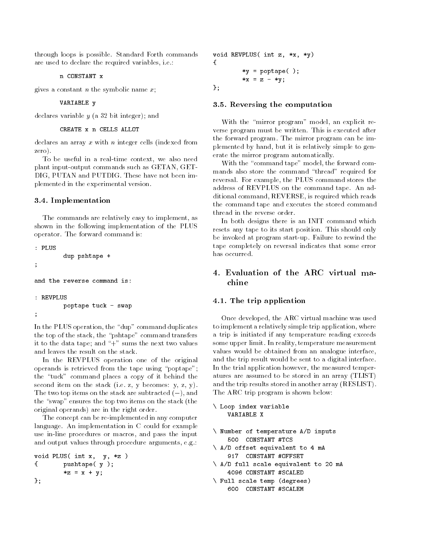through loops is possible. Standard Forth commands are used to declare the required variables, i.e.:

### n CONSTANT x

gives a constant *n* the symbolic name  $x$ ;

## VARIABLE y

declares variable  $y$  (a 32 bit integer); and

CREATE x n CELLS ALLOT

declares an array  $x$  with  $n$  integer cells (indexed from zero). zero).

To be useful in a real-time context, we also need plant input-output commands such as GETAN, GET-DIG, PUTAN and PUTDIG. These have not been implemented in the experimental version.

## 3.4. Implementation

The commands are relatively easy to implement, as shown in the following implementation of the PLUS operator. The forward command is:

```
: PLUS
        dup pshtape +
;
and the reverse command is:
: REVPLUS
        poptape tuck - swap
```
;

In the PLUS operation, the "dup" command duplicates the top of the stack, the "pshtape" command transfers it to the data tape; and " $+$ " sums the next two values and leaves the result on the stack.

In the REVPLUS operation one of the original operands is retrieved from the tape using "poptape"; the "tuck" command places a copy of it behind the second item on the stack (i.e. z, y becomes: y, z, y). The two top items on the stack are subtracted  $(-)$ , and the "swap" ensures the top two items on the stack (the original operands) are in the right order.

The concept can be re-implemented in any computer language. An implementation in C could for example use in-line procedures or macros, and pass the input and output values through procedure arguments, e.g.:

```
void PLUS( int x, y, *z )
{ pushtape( y );
       *z = x + y;};
```

```
void REVPLUS( int z, *x, *y)
\mathcal{F}{\color{red} \bullet} . The contract of the contract of the contract of the contract of the contract of the contract of the contract of the contract of the contract of the contract of the contract of the contract of the contract of 
                                      *y = poptape( );
                                      *x = z - *y;
};
```
## 3.5. Reversing the computation

With the "mirror program" model, an explicit reverse program must be written. This is executed after the forward program. The mirror program can be implemented by hand, but it is relatively simple to generate the mirror program automatically.

With the "command tape" model, the forward commands also store the command "thread" required for reversal. For example, the PLUS command stores the address of REVPLUS on the command tape. An additional command, REVERSE, is required which reads the command tape and executes the stored command thread in the reverse order.

In both designs there is an INIT command which resets any tape to its start position. This should only be invoked at program start-up. Failure to rewind the tape completely on reversal indicates that some error has occurred.

## 4. Evaluation of the ARC virtual machine

## 4.1. The trip application

Once developed, the ARC virtual machine was used to implement a relatively simple trip application, where a trip is initiated if any temperature reading exceeds some upper limit. In reality, temperature measurement values would be obtained from an analogue interface, and the trip result would be sent to a digital interface. In the trial application however, the measured temperatures are assumed to be stored in an array (TLIST) and the trip results stored in another array (RESLIST). The ARC trip program is shown below:

```
\ Loop index variable
   VARIABLE X
```
- \ Number of temperature A/D inputs 500 CONSTANT #TCS \ A/D offset equivalent to 4 mA 917 CONSTANT #OFFSET
- \ A/D full scale equivalent to 20 mA 4096 CONSTANT #SCALED

```
\ Full scale temp (degrees)
    600 CONSTANT #SCALEM
```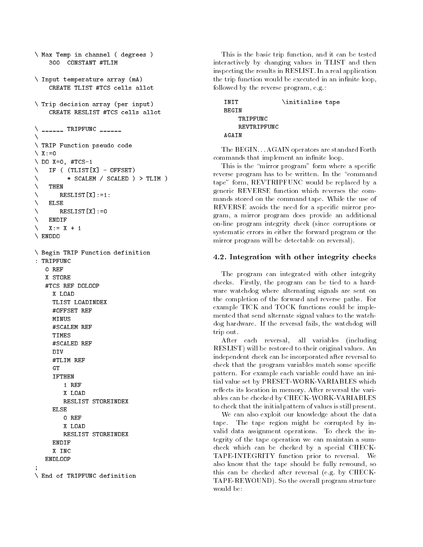```
\ Max Temp in channel ( degrees )
         300 CONSTANT #TLIM
\ Input temperature array (mA)
         CREATE TLIST #TCS cells allot
\ Trip decision array (per input)
         CREATE RESLIST #TCS cells allot
\setminus \_\_X
\mathbf{v}\ TRIP Function pseudo code
X := 0\setminus DO X=0, #TCS-1
\setminus IF ( (TLIST[X] - OFFSET)
\setminus * SCALEM / SCALED > TLIM >\ THEN
\setminus RESLIST[X]:=1:
        ELSE
\Gamma . The contract of the contract of the contract of the contract of the contract of the contract of the contract of the contract of the contract of the contract of the contract of the contract of the contract of the co
\setminus RESLIST[X]:=0
        ENDIF
\overline{\phantom{B}} . The contract of the contract of the contract of the contract of the contract of the contract of the contract of the contract of the contract of the contract of the contract of the contract of the contract of 
X
         X := X + 1\mathbf{X}:=\mathbf{X}+\mathbf{X}+\mathbf{X}+\mathbf{X}+\mathbf{X}+\mathbf{X}+\mathbf{X}+\mathbf{X}+\mathbf{X}+\mathbf{X}+\mathbf{X}+\mathbf{X}+\mathbf{X}+\mathbf{X}+\mathbf{X}+\mathbf{X}+\mathbf{X}+\mathbf{X}+\mathbf{X}+\mathbf{X}+\mathbf{X}+\mathbf{X}+\mathbf{X}+\mathbf{X}+\mathbf{X}+\mathbf{X}+\mathbf{X}+\mathbf{X}+\mathbf{X}+\mathbf{X}+\mathbf{X}+\mathbf{X}+\mathbf{X}+\mathbf{X}+\mathbf{X}+\mathbf\ ENDDO
\ Begin TRIP Function definition
      X STORE
      #TCS REF DOLOOP
           X LOAD
           TLIST LOADINDEX
           #OFFSET REF
           MINUS
           #SCALEM REF
           TIMES
           #SCALED REF
           DIV
           #TLIM REF
           IFTHEN
                 1 REF
                  X IOAD
           ELSE
                  0 REF
                  X LOAD
                  RESLIST STOREINDEX
           ENDIF
           X INC
      ENDLOOP
;
\ End of TRIPFUNC definition
```
This is the basic trip function, and it can be tested interactively by changing values in TLIST and then inspecting the results in RESLIST. In a real application the trip function would be executed in an infinite loop, followed by the reverse program, e.g.:

```
INIT
                  \intinitialise tape
BEGIN
    TRIPFUNC
    REVTRIPFUNC
AGAIN
```
The BEGIN. . .AGAIN operators are standard Forth commands that implement an infinite loop.

This is the "mirror program" form where a specific reverse program has to be written. In the "command tape" form, REVTRIPFUNC would be replaced by a generic REVERSE function which reverses the commands stored on the command tape. While the use of REVERSE avoids the need for a specific mirror program, a mirror program does provide an additional on-line program integrity check (since corruptions or systematic errors in either the forward program or the mirror program will be detectable on reversal).

## 4.2. Integration with other integrity checks

The program can integrated with other integrity checks. Firstly, the program can be tied to a hard ware watchdog where alternating signals are sent on the completion of the forward and reverse paths. For example TICK and TOCK functions could be imple mented that send alternate signal values to the watchdog hardware. If the reversal fails, the watchdog will trip out.

After each reversal, all variables (including RESLIST) will be restored to their original values. An independent check can be incorporated after reversal to check that the program variables match some specific pattern. For example each variable could have an initial value set by PRESET-WORK-VARIABLES which reflects its location in memory. After reversal the variables can be checked by CHECK-WORK-VARIABLES to check that the initial pattern of values is still present.

We can also exploit our knowledge about the data tape. The tape region might be corrupted by invalid data assignment operations. To check the integrity of the tape operation we can maintain a sumcheck which can be checked by a special CHECK-TAPE-INTEGRITY function prior to reversal. We also know that the tape should be fully rewound, so this can be checked after reversal (e.g. by CHECK-TAPE-REWOUND). So the overall program structure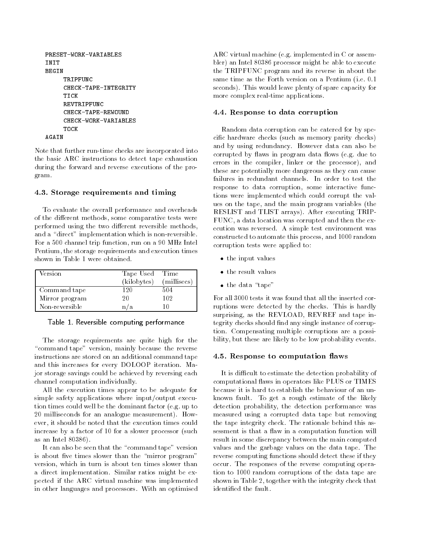```
PRESET-WORK-VARIABLES
TNTT
BEGIN
     TRIPFUNC
     CHECK-TAPE-INTEGRITY
     TTCK
     CHECK-TAPE-REWOUND
     CHECK-WORK-VARIABLES
```
Note that further run-time checks are incorporated into the basic ARC instructions to detect tape exhaustion during the forward and reverse executions of the program.

## 4.3. Storage requirements and timing

To evaluate the overall performance and overheads of the different methods, some comparative tests were performed using the two different reversible methods, and a "direct" implementation which is non-reversible. For a 500 channel trip function, run on a 90 MHz Intel Pentium, the storage requirements and execution times shown in Table 1 were obtained.

| Version        | Tape Used   | - Time      |
|----------------|-------------|-------------|
|                | (kilobytes) | (millisecs) |
| Command tape   | 120         | 504         |
| Mirror program | 20          | 102         |
| Non-reversible | n / a       |             |

Table 1. Reversible computing performance

The storage requirements are quite high for the "command tape" version, mainly because the reverse instructions are stored on an additional command tape and this increases for every DOLOOP iteration. Major storage savings could be achieved by reversing each channel computation individually.

All the execution times appear to be adequate for simple safety applications where input/output execution times could well be the dominant factor (e.g. up to 20 milliseconds for an analogue measurement). However, it should be noted that the execution times could increase by a factor of 10 for a slower processor (such as an Intel 80386).

It can also be seen that the "command tape" version is about five times slower than the "mirror program" version, which in turn is about ten times slower than a direct implementation. Similar ratios might be expected if the ARC virtual machine was implemented in other languages and processors. With an optimised ARC virtual machine (e.g. implemented in C or assembler) an Intel 80386 processor might be able to execute the TRIPFUNC program and its reverse in about the same time as the Forth version on a Pentium (i.e. 0.1 seconds). This would leave plenty of spare capacity for more complex real-time applications.

## 4.4. Response to data corruption

Random data corruption can be catered for by specic hardware checks (such as memory parity checks) and by using redundancy. However data can also be corrupted by flaws in program data flows (e.g. due to errors in the compiler, linker or the processor), and these are potentially more dangerous as they can cause failures in redundant channels. In order to test the response to data corruption, some interactive functions were implemented which could corrupt the values on the tape, and the main program variables (the RESLIST and TLIST arrays). After executing TRIP-FUNC, a data location was corrupted and then the execution was reversed. A simple test environment was constructed to automate this process, and 1000 random corruption tests were applied to:

- the input values
- the result values
- $\bullet$  the data "tape"

For all 3000 tests it was found that all the inserted corruptions were detected by the checks. This is hardly surprising, as the REVLOAD, REVREF and tape integrity checks should find any single instance of corruption. Compensating multiple corruptions are a possibility, but these are likely to be low probability events.

#### 4.5. Response to computation 
aws

It is difficult to estimate the detection probability of computational flaws in operators like PLUS or TIMES because it is hard to establish the behaviour of an unknown fault. To get a rough estimate of the likely detection probability, the detection performance was measured using a corrupted data tape but removing the tape integrity check. The rationale behind this assessment is that a flaw in a computation function will result in some discrepancy between the main computed values and the garbage values on the data tape. The reverse computing functions should detect these if they occur. The responses of the reverse computing operation to 1000 random corruptions of the data tape are shown in Table 2, together with the integrity check that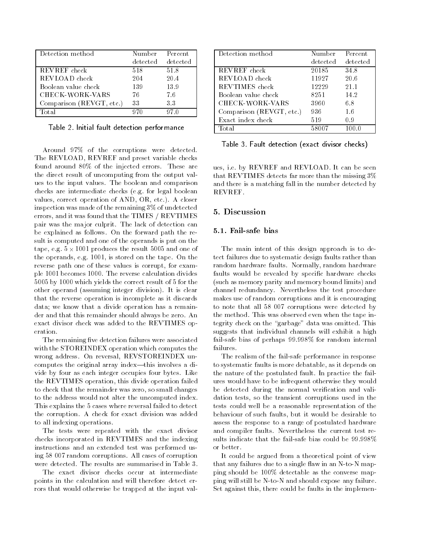| Detection method         | Number<br>detected | Percent<br>detected |
|--------------------------|--------------------|---------------------|
| <b>REVREF</b> check      | 518                | 51.8                |
| REVLOAD check            | 204                | 20.4                |
| Boolean value check      | 139                | 13.9                |
| CHECK-WORK-VARS          | 76                 | 7.6                 |
| Comparison (REVGT, etc.) | 33                 | 33                  |
| Total                    |                    | 97 N                |

Table 2. Initial fault detection performance

Around 97% of the corruptions were detected. The REVLOAD, REVREF and preset variable checks found around 80% of the injected errors. These are the direct result of uncomputing from the output values to the input values. The boolean and comparison checks are intermediate checks (e.g. for legal boolean values, correct operation of AND, OR, etc.). A closer inspection was made of the remaining 3% of undetected errors, and it was found that the TIMES / REVTIMES pair was the major culprit. The lack of detection can be explained as follows. On the forward path the result is computed and one of the operands is put on the tape, e.g. 5 - 100 produces the result formed the result for the results of the results of the results of the the operands, e.g. 1001, is stored on the tape. On the reverse path one of these values is corrupt, for example 1001 becomes 1000. The reverse calculation divides 5005 by 1000 which yields the correct result of 5 for the other operand (assuming integer division). It is clear that the reverse operation is incomplete as it discards data; we know that a divide operation has a remainder and that this remainder should always be zero. An exact divisor check was added to the REVTIMES operation.

The remaining five detection failures were associated with the STOREINDEX operation which computes the wrong address. On reversal, REVSTOREINDEX uncomputes the original array index—this involves a divide by four as each integer occupies four bytes. Like the REVTIMES operation, this divide operation failed to check that the remainder was zero, so small changes to the address would not alter the uncomputed index. This explains the 5 cases where reversal failed to detect the corruption. A check for exact division was added to all indexing operations.

The tests were repeated with the exact divisor checks incorporated in REVTIMES and the indexing instructions and an extended test was performed using 58 007 random corruptions. All cases of corruption were detected. The results are summarised in Table 3.

The exact divisor checks occur at intermediate points in the calculation and will therefore detect errors that would otherwise be trapped at the input val-

| Detection method         | Number   | Percent  |
|--------------------------|----------|----------|
|                          | detected | detected |
| REVREF check             | 20185    | 34.8     |
| REVLOAD check            | 11927    | 20.6     |
| REVTIMES check           | 12229    | 21.1     |
| Boolean value check      | 8251     | 14.2     |
| CHECK-WORK-VARS          | 3960     | 6.8      |
| Comparison (REVGT, etc.) | 936      | 1.6      |
| Exact index check        | 519      | 0.9      |
| Total                    | 58007    | 100.0    |

Table 3. Fault detection (exact divisor checks)

ues, i.e. by REVREF and REVLOAD. It can be seen that REVTIMES detects far more than the missing 3% and there is a matching fall in the number detected by REVREF.

## 5. Discussion

## 5.1. Fail-safe bias

The main intent of this design approach is to detect failures due to systematic design faults rather than random hardware faults. Normally, random hardware faults would be revealed by specific hardware checks (such as memory parity and memory bound limits) and channel redundancy. Nevertheless the test procedure makes use of random corruptions and it is encouraging to note that all 58 007 corruptions were detected by the method. This was observed even when the tape integrity check on the "garbage" data was omitted. This suggests that individual channels will exhibit a high fail-safe bias of perhaps 99.998% for random internal failures.

The realism of the fail-safe performance in response to systematic faults is more debatable, as it depends on the nature of the postulated fault. In practice the failures would have to be infrequent otherwise they would be detected during the normal verification and validation tests, so the transient corruptions used in the tests could well be a reasonable representation of the behaviour of such faults, but it would be desirable to assess the response to a range of postulated hardware and compiler faults. Nevertheless the current test results indicate that the fail-safe bias could be 99.998% or better.

It could be argued from a theoretical point of view that any failures due to a single flaw in an N-to-N mapping should be 100% detectable as the converse mapping will still be N-to-N and should expose any failure. Set against this, there could be faults in the implemen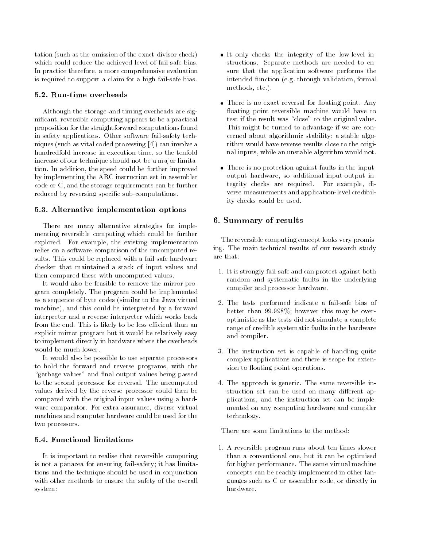tation (such as the omission of the exact divisor check) which could reduce the achieved level of fail-safe bias. In practice therefore, a more comprehensive evaluation is required to support a claim for a high fail-safe bias.

## 5.2. Run-time overheads

Although the storage and timing overheads are signicant, reversible computing appears to be a practical proposition for the straightforward computations found in safety applications. Other software fail-safety techniques (such as vital coded processing [4]) can involve a hundredfold increase in execution time, so the tenfold increase of our technique should not be a major limitation. In addition, the speed could be further improved by implementing the ARC instruction set in assembler code or C, and the storage requirements can be further reduced by reversing specific sub-computations.

## 5.3. Alternative implementation options

There are many alternative strategies for imple menting reversible computing which could be further explored. For example, the existing implementation relies on a software comparison of the uncomputed results. This could be replaced with a fail-safe hardware checker that maintained a stack of input values and then compared these with uncomputed values.

It would also be feasible to remove the mirror program completely. The program could be implemented as a sequence of byte codes (similar to the Java virtual machine), and this could be interpreted by a forward interpreter and a reverse interpreter which works back from the end. This is likely to be less efficient than an explicit mirror program but it would be relatively easy to implement directly in hardware where the overheads would be much lower.

It would also be possible to use separate processors to hold the forward and reverse programs, with the "garbage values" and final output values being passed to the second processor for reversal. The uncomputed values derived by the reverse processor could then be compared with the original input values using a hard ware comparator. For extra assurance, diverse virtual machines and computer hardware could be used for the two processors.

## 5.4. Functional limitations

It is important to realise that reversible computing is not a panacea for ensuring fail-safety; it has limitations and the technique should be used in conjunction with other methods to ensure the safety of the overall system:

- It only checks the integrity of the low-level instructions. Separate methods are needed to ensure that the application software performs the intended function (e.g. through validation, formal methods, etc.).
- There is no exact reversal for floating point. Any floating point reversible machine would have to test if the result was "close" to the original value. This might be turned to advantage if we are concerned about algorithmic stability; a stable algorithm would have reverse results close to the original inputs, while an unstable algorithm would not.
- There is no protection against faults in the inputoutput hardware, so additional input-output integrity checks are required. For example, diverse measurements and application-level credibility checks could be used.

## 6. Summary of results

The reversible computing concept looks very promising. The main technical results of our research study are that:

- 1. It is strongly fail-safe and can protect against both random and systematic faults in the underlying compiler and processor hardware.
- 2. The tests performed indicate a fail-safe bias of better than 99.998%; however this may be overoptimistic as the tests did not simulate a complete range of credible systematic faults in the hardware and compiler.
- 3. The instruction set is capable of handling quite complex applications and there is scope for extension to floating point operations.
- 4. The approach is generic. The same reversible instruction set can be used on many different applications, and the instruction set can be imple mented on any computing hardware and compiler technology.

There are some limitations to the method:

1. A reversible program runs about ten times slower than a conventional one, but it can be optimised for higher performance. The same virtual machine concepts can be readily implemented in other languages such as C or assembler code, or directly in hardware.